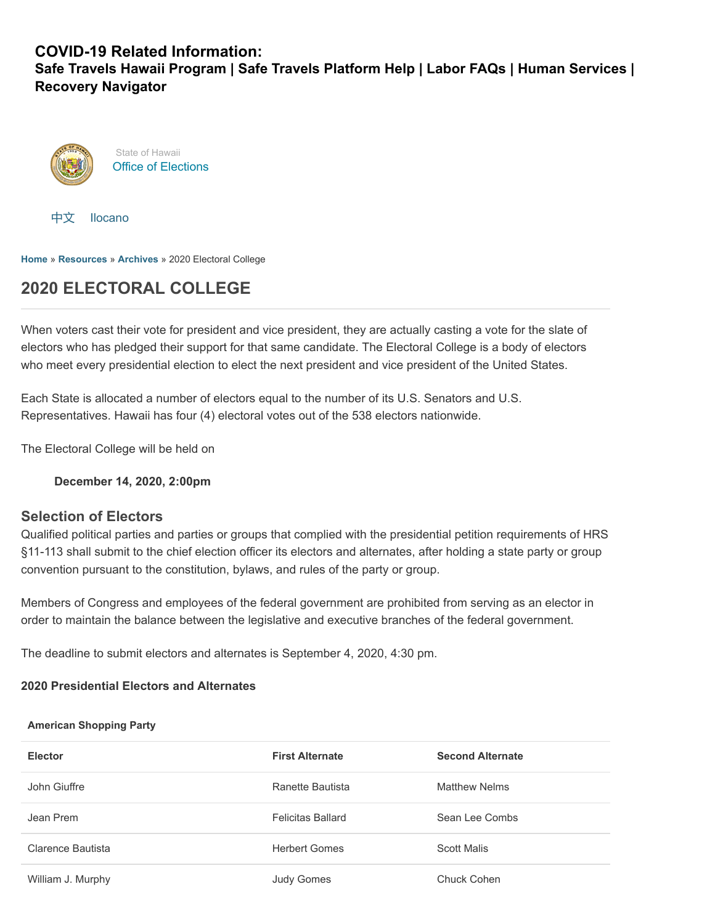## **COVID-19 Related Information:**

**[Safe Travels Hawaii Program](https://hawaiicovid19.com/travel/faqs/) | [Safe Travels Platform Help](https://ets.hawaii.gov/travelhelp/) | [Labor FAQs](https://labor.hawaii.gov/covid-19-labor-faqs) | [Human Services](https://humanservices.hawaii.gov/) | [Recovery Navigator](https://recoverynavigator.hawaii.gov/)**





**[Home](https://electionsdev.hawaii.gov/)** » **[Resources](https://electionsdev.hawaii.gov/resources/)** » **[Archives](https://electionsdev.hawaii.gov/resources/archives/)** » 2020 Electoral College

# **2020 ELECTORAL COLLEGE**

When voters cast their vote for president and vice president, they are actually casting a vote for the slate of electors who has pledged their support for that same candidate. The Electoral College is a body of electors who meet every presidential election to elect the next president and vice president of the United States.

Each State is allocated a number of electors equal to the number of its U.S. Senators and U.S. Representatives. Hawaii has four (4) electoral votes out of the 538 electors nationwide.

The Electoral College will be held on

**December 14, 2020, 2:00pm**

## **Selection of Electors**

Qualified political parties and parties or groups that complied with the presidential petition requirements of HRS §11-113 shall submit to the chief election officer its electors and alternates, after holding a state party or group convention pursuant to the constitution, bylaws, and rules of the party or group.

Members of Congress and employees of the federal government are prohibited from serving as an elector in order to maintain the balance between the legislative and executive branches of the federal government.

The deadline to submit electors and alternates is September 4, 2020, 4:30 pm.

### **2020 Presidential Electors and Alternates**

#### **American Shopping Party**

| <b>Elector</b>    | <b>First Alternate</b>   | <b>Second Alternate</b> |
|-------------------|--------------------------|-------------------------|
| John Giuffre      | Ranette Bautista         | Matthew Nelms           |
| Jean Prem         | <b>Felicitas Ballard</b> | Sean Lee Combs          |
| Clarence Bautista | <b>Herbert Gomes</b>     | <b>Scott Malis</b>      |
| William J. Murphy | <b>Judy Gomes</b>        | Chuck Cohen             |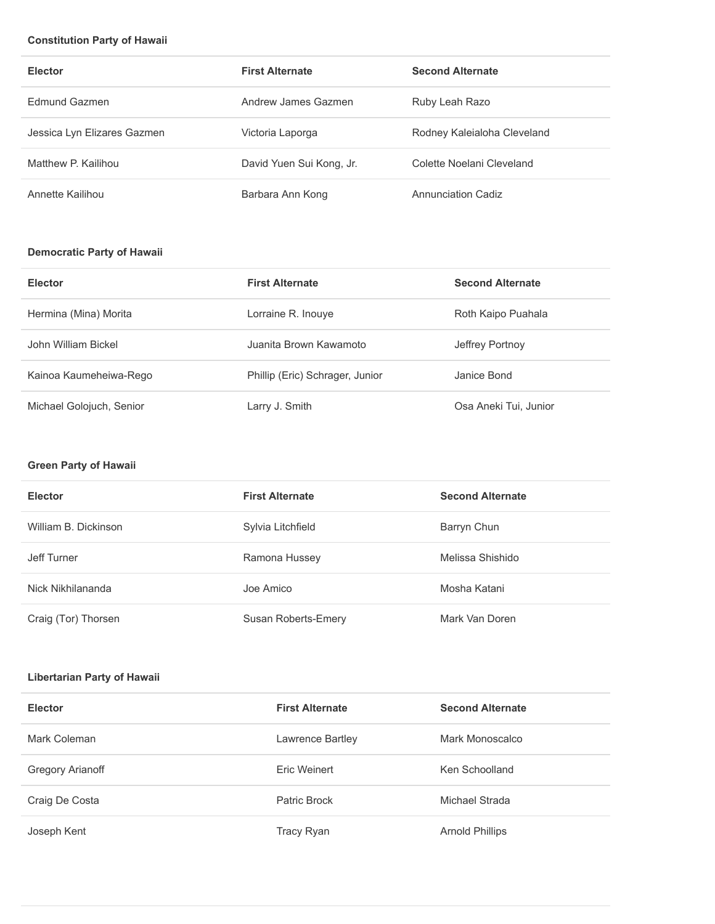#### **Constitution Party of Hawaii**

| <b>Elector</b>              | <b>First Alternate</b>   | <b>Second Alternate</b>     |
|-----------------------------|--------------------------|-----------------------------|
| <b>Fdmund Gazmen</b>        | Andrew James Gazmen      | Ruby Leah Razo              |
| Jessica Lyn Elizares Gazmen | Victoria Laporga         | Rodney Kaleialoha Cleveland |
| Matthew P. Kailihou         | David Yuen Sui Kong, Jr. | Colette Noelani Cleveland   |
| Annette Kailihou            | Barbara Ann Kong         | Annunciation Cadiz          |

## **Democratic Party of Hawaii**

| <b>Elector</b>           | <b>First Alternate</b>          | <b>Second Alternate</b> |
|--------------------------|---------------------------------|-------------------------|
| Hermina (Mina) Morita    | Lorraine R. Inouye              | Roth Kaipo Puahala      |
| John William Bickel      | Juanita Brown Kawamoto          | Jeffrey Portnoy         |
| Kainoa Kaumeheiwa-Rego   | Phillip (Eric) Schrager, Junior | Janice Bond             |
| Michael Golojuch, Senior | Larry J. Smith                  | Osa Aneki Tui, Junior   |

#### **Green Party of Hawaii**

| <b>Elector</b>       | <b>First Alternate</b> | <b>Second Alternate</b> |
|----------------------|------------------------|-------------------------|
| William B. Dickinson | Sylvia Litchfield      | Barryn Chun             |
| Jeff Turner          | Ramona Hussey          | Melissa Shishido        |
| Nick Nikhilananda    | Joe Amico              | Mosha Katani            |
| Craig (Tor) Thorsen  | Susan Roberts-Emery    | Mark Van Doren          |

#### **Libertarian Party of Hawaii**

| <b>Elector</b>          | <b>First Alternate</b> | <b>Second Alternate</b> |
|-------------------------|------------------------|-------------------------|
| Mark Coleman            | Lawrence Bartley       | Mark Monoscalco         |
| <b>Gregory Arianoff</b> | Eric Weinert           | Ken Schoolland          |
| Craig De Costa          | Patric Brock           | Michael Strada          |
| Joseph Kent             | Tracy Ryan             | <b>Arnold Phillips</b>  |